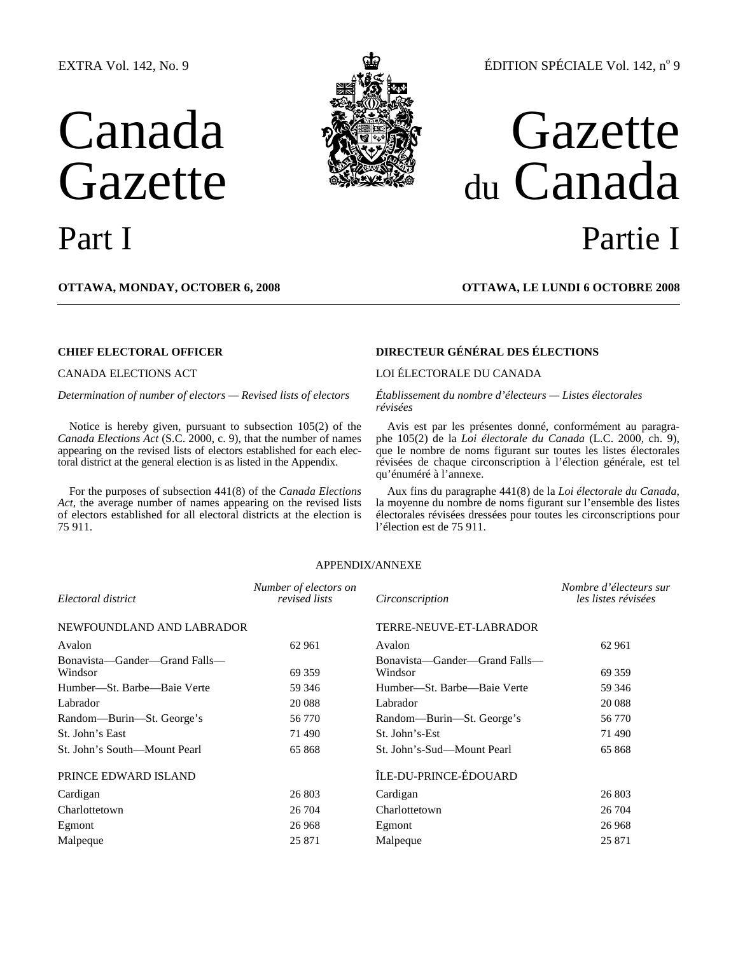## EXTRA Vol. 142, No. 9

# Canada Gazette



## ÉDITION SPÉCIALE Vol. 142, nº 9

## Gazette du Canada Part I Partie I

**OTTAWA, MONDAY, OCTOBER 6, 2008 OTTAWA, LE LUNDI 6 OCTOBRE 2008**

*Determination of number of electors — Revised lists of electors Établissement du nombre d'électeurs — Listes électorales* 

Notice is hereby given, pursuant to subsection 105(2) of the *Canada Elections Act* (S.C. 2000, c. 9), that the number of names appearing on the revised lists of electors established for each electoral district at the general election is as listed in the Appendix.

For the purposes of subsection 441(8) of the *Canada Elections Act*, the average number of names appearing on the revised lists of electors established for all electoral districts at the election is 75 911.

## **CHIEF ELECTORAL OFFICER DIRECTEUR GÉNÉRAL DES ÉLECTIONS**

## CANADA ELECTIONS ACT LOI ÉLECTORALE DU CANADA

*révisées* 

Avis est par les présentes donné, conformément au paragraphe 105(2) de la *Loi électorale du Canada* (L.C. 2000, ch. 9), que le nombre de noms figurant sur toutes les listes électorales révisées de chaque circonscription à l'élection générale, est tel qu'énuméré à l'annexe.

Aux fins du paragraphe 441(8) de la *Loi électorale du Canada*, la moyenne du nombre de noms figurant sur l'ensemble des listes électorales révisées dressées pour toutes les circonscriptions pour l'élection est de 75 911.

### APPENDIX/ANNEXE

| Electoral district                       | Number of electors on<br>revised lists | Circonscription                          | Nombre d'électeurs sur<br>les listes révisées |  |
|------------------------------------------|----------------------------------------|------------------------------------------|-----------------------------------------------|--|
| NEWFOUNDLAND AND LABRADOR                |                                        | TERRE-NEUVE-ET-LABRADOR                  |                                               |  |
| Avalon                                   | 62 961                                 | Avalon                                   | 62 961                                        |  |
| Bonavista—Gander—Grand Falls—<br>Windsor | 69 359                                 | Bonavista—Gander—Grand Falls—<br>Windsor | 69 359                                        |  |
| Humber—St. Barbe—Baie Verte              | 59 34 6                                | Humber—St. Barbe—Baie Verte              | 59 34 6                                       |  |
| Labrador                                 | 20 088                                 | Labrador                                 | 20 088                                        |  |
| Random—Burin—St. George's                | 56 770                                 | Random—Burin—St. George's                | 56 770                                        |  |
| St. John's East                          | 71 490                                 | St. John's-Est                           | 71 490                                        |  |
| St. John's South—Mount Pearl             | 65 868                                 | St. John's-Sud—Mount Pearl               | 65 868                                        |  |
| PRINCE EDWARD ISLAND                     |                                        | ÎLE-DU-PRINCE-ÉDOUARD                    |                                               |  |
| Cardigan                                 | 26 803                                 | Cardigan                                 | 26 803                                        |  |
| Charlottetown                            | 26 704                                 | Charlottetown                            | 26 704                                        |  |
| Egmont                                   | 26 968                                 | Egmont                                   | 26 968                                        |  |
| Malpeque                                 | 25 871                                 | Malpeque                                 | 25 871                                        |  |
|                                          |                                        |                                          |                                               |  |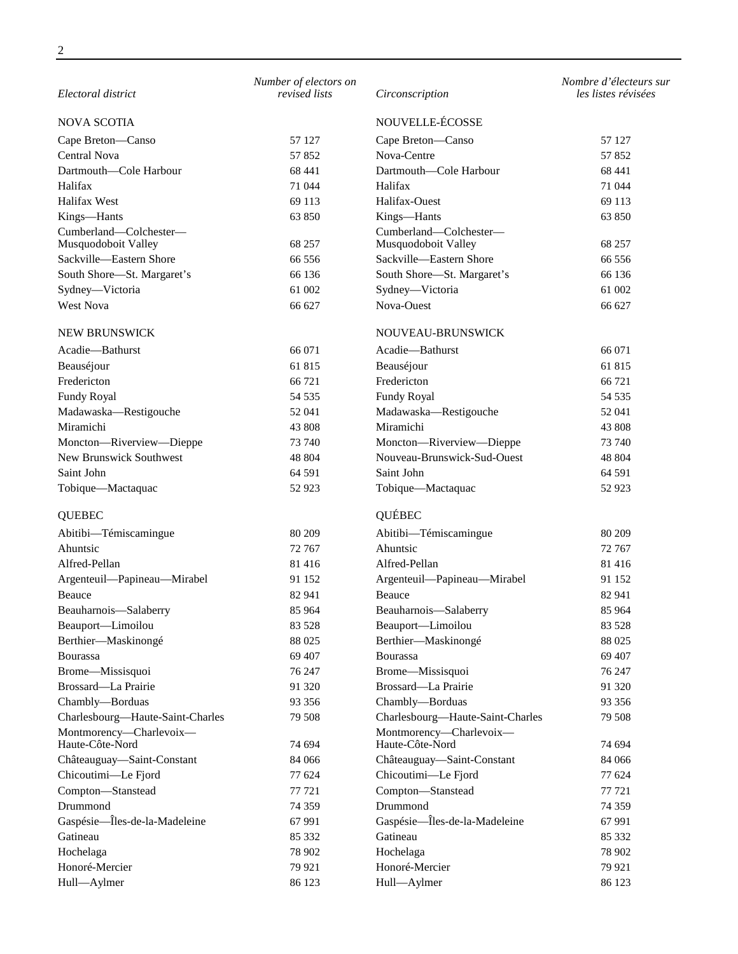| Electoral district                         | Number of electors on<br>revised lists | Circonscription                            | Nombre d'électeurs sur<br>les listes révisées |
|--------------------------------------------|----------------------------------------|--------------------------------------------|-----------------------------------------------|
| <b>NOVA SCOTIA</b>                         |                                        | NOUVELLE-ÉCOSSE                            |                                               |
| Cape Breton-Canso                          | 57 127                                 | Cape Breton-Canso                          | 57 127                                        |
| Central Nova                               | 57852                                  | Nova-Centre                                | 57852                                         |
| Dartmouth—Cole Harbour                     | 68 441                                 | Dartmouth-Cole Harbour                     | 68 441                                        |
| Halifax                                    | 71 044                                 | Halifax                                    | 71 044                                        |
| Halifax West                               | 69 113                                 | Halifax-Ouest                              | 69 113                                        |
| Kings-Hants                                | 63 850                                 | Kings-Hants                                | 63 850                                        |
| Cumberland-Colchester-                     |                                        | Cumberland-Colchester-                     |                                               |
| Musquodoboit Valley                        | 68 257                                 | Musquodoboit Valley                        | 68 257                                        |
| Sackville-Eastern Shore                    | 66 556                                 | Sackville-Eastern Shore                    | 66 556                                        |
| South Shore-St. Margaret's                 | 66 136                                 | South Shore-St. Margaret's                 | 66 136                                        |
| Sydney-Victoria                            | 61 002                                 | Sydney-Victoria                            | 61 002                                        |
| <b>West Nova</b>                           | 66 627                                 | Nova-Ouest                                 | 66 627                                        |
| NEW BRUNSWICK                              |                                        | NOUVEAU-BRUNSWICK                          |                                               |
| Acadie-Bathurst                            | 66 071                                 | Acadie-Bathurst                            | 66 071                                        |
| Beauséjour                                 | 61 815                                 | Beauséjour                                 | 61815                                         |
| Fredericton                                | 66 721                                 | Fredericton                                | 66 721                                        |
| Fundy Royal                                | 54 535                                 | Fundy Royal                                | 54 535                                        |
| Madawaska-Restigouche                      | 52 041                                 | Madawaska-Restigouche                      | 52 041                                        |
| Miramichi                                  | 43 808                                 | Miramichi                                  | 43 808                                        |
| Moncton-Riverview-Dieppe                   | 73 740                                 | Moncton-Riverview-Dieppe                   | 73 740                                        |
| New Brunswick Southwest                    | 48 804                                 | Nouveau-Brunswick-Sud-Ouest                | 48 804                                        |
| Saint John                                 | 64 591                                 | Saint John                                 | 64 591                                        |
| Tobique-Mactaquac                          | 52 923                                 | Tobique-Mactaquac                          | 52 923                                        |
| <b>QUEBEC</b>                              |                                        | QUÉBEC                                     |                                               |
| Abitibi-Témiscamingue                      | 80 209                                 | Abitibi-Témiscamingue                      | 80 209                                        |
| Ahuntsic                                   | 72 767                                 | Ahuntsic                                   | 72 767                                        |
| Alfred-Pellan                              | 81 416                                 | Alfred-Pellan                              | 81 416                                        |
| Argenteuil-Papineau-Mirabel                | 91 152                                 | Argenteuil-Papineau-Mirabel                | 91 152                                        |
| Beauce                                     | 82 941                                 | <b>Beauce</b>                              | 82 941                                        |
| Beauharnois-Salaberry                      | 85 964                                 | Beauharnois-Salaberry                      | 85 964                                        |
| Beauport-Limoilou                          | 83 5 28                                | Beauport-Limoilou                          | 83 5 28                                       |
| Berthier-Maskinongé                        | 88 025                                 | Berthier-Maskinongé                        | 88 025                                        |
| <b>Bourassa</b>                            | 69 407                                 | Bourassa                                   | 69 407                                        |
| Brome-Missisquoi                           | 76 247                                 | Brome-Missisquoi                           | 76 247                                        |
| Brossard-La Prairie                        | 91 320                                 | Brossard—La Prairie                        | 91 320                                        |
| Chambly-Borduas                            | 93 35 6                                | Chambly-Borduas                            | 93 356                                        |
| Charlesbourg-Haute-Saint-Charles           | 79 508                                 | Charlesbourg-Haute-Saint-Charles           | 79 508                                        |
| Montmorency-Charlevoix-<br>Haute-Côte-Nord | 74 694                                 | Montmorency-Charlevoix-<br>Haute-Côte-Nord | 74 694                                        |
| Châteauguay-Saint-Constant                 | 84 066                                 | Châteauguay-Saint-Constant                 | 84 066                                        |
| Chicoutimi-Le Fjord                        | 77 624                                 | Chicoutimi-Le Fjord                        | 77 624                                        |
| Compton-Stanstead                          | 77 721                                 | Compton-Stanstead                          | 77 721                                        |
| Drummond                                   | 74 359                                 | Drummond                                   | 74 359                                        |
| Gaspésie-Îles-de-la-Madeleine              | 67 991                                 | Gaspésie-Îles-de-la-Madeleine              | 67 991                                        |
| Gatineau                                   | 85 332                                 | Gatineau                                   | 85 332                                        |
| Hochelaga                                  | 78 902                                 | Hochelaga                                  | 78 902                                        |
| Honoré-Mercier                             | 79 921                                 | Honoré-Mercier                             | 79 921                                        |
| Hull-Aylmer                                | 86 123                                 | Hull-Aylmer                                | 86 123                                        |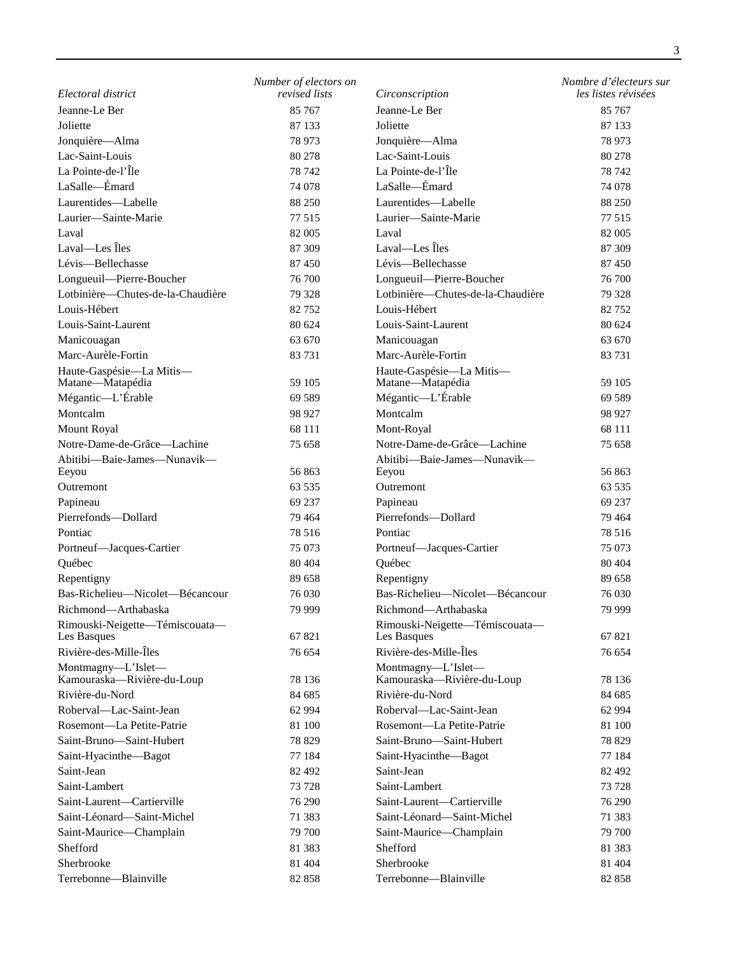|                                               | Number of electors on |                                               | Nombre d'électeurs sur |
|-----------------------------------------------|-----------------------|-----------------------------------------------|------------------------|
| Electoral district                            | revised lists         | Circonscription                               | les listes révisées    |
| Jeanne-Le Ber                                 | 85 767                | Jeanne-Le Ber                                 | 85 767                 |
| Joliette                                      | 87 133                | Joliette                                      | 87 133                 |
| Jonquière-Alma                                | 78 973                | Jonquière-Alma                                | 78 973                 |
| Lac-Saint-Louis                               | 80 278                | Lac-Saint-Louis                               | 80 278                 |
| La Pointe-de-l'Île                            | 78 742                | La Pointe-de-l'Île                            | 78 742                 |
| LaSalle-Emard                                 | 74 078                | LaSalle-Emard                                 | 74 078                 |
| Laurentides-Labelle                           | 88 250                | Laurentides-Labelle                           | 88 250                 |
| Laurier-Sainte-Marie                          | 77 515                | Laurier-Sainte-Marie                          | 77 515                 |
| Laval                                         | 82 005                | Laval                                         | 82 005                 |
| Laval-Les Îles                                | 87 309                | Laval—Les Îles                                | 87 309                 |
| Lévis-Bellechasse                             | 87 450                | Lévis-Bellechasse                             | 87 450                 |
| Longueuil-Pierre-Boucher                      | 76 700                | Longueuil-Pierre-Boucher                      | 76 700                 |
| Lotbinière-Chutes-de-la-Chaudière             | 79 328                | Lotbinière-Chutes-de-la-Chaudière             | 79 328                 |
| Louis-Hébert                                  | 82752                 | Louis-Hébert                                  | 82752                  |
| Louis-Saint-Laurent                           | 80 624                | Louis-Saint-Laurent                           | 80 624                 |
| Manicouagan                                   | 63 670                | Manicouagan                                   | 63 670                 |
| Marc-Aurèle-Fortin                            | 83 731                | Marc-Aurèle-Fortin                            | 83731                  |
| Haute-Gaspésie-La Mitis-                      |                       | Haute-Gaspésie-La Mitis-                      |                        |
| Matane-Matapédia                              | 59 105                | Matane-Matapédia                              | 59 105                 |
| Mégantic-L'Érable                             | 69 589                | Mégantic-L'Érable                             | 69 589                 |
| Montcalm                                      | 98 927                | Montcalm                                      | 98 927                 |
| <b>Mount Royal</b>                            | 68 111                | Mont-Royal                                    | 68 111                 |
| Notre-Dame-de-Grâce-Lachine                   | 75 658                | Notre-Dame-de-Grâce-Lachine                   | 75 658                 |
| Abitibi-Baie-James-Nunavik-                   |                       | Abitibi-Baie-James-Nunavik-                   |                        |
| Eeyou                                         | 56 863                | Eeyou                                         | 56 863                 |
| Outremont                                     | 63 5 35               | Outremont                                     | 63 5 35                |
| Papineau                                      | 69 237                | Papineau                                      | 69 237                 |
| Pierrefonds-Dollard                           | 79 4 64               | Pierrefonds-Dollard                           | 79 4 64                |
| Pontiac                                       | 78 516                | Pontiac                                       | 78 516                 |
| Portneuf-Jacques-Cartier                      | 75 073                | Portneuf-Jacques-Cartier                      | 75 073                 |
| Québec                                        | 80 40 4               | Québec                                        | 80 40 4                |
| Repentigny<br>Bas-Richelieu-Nicolet-Bécancour | 89 658                | Repentigny                                    | 89 658                 |
|                                               | 76 030                | Bas-Richelieu-Nicolet-Bécancour               | 76 030                 |
| Richmond-Arthabaska                           | 79 999                | Richmond-Arthabaska                           | 79 999                 |
| Rimouski-Neigette-Témiscouata-<br>Les Basques | 67821                 | Rimouski-Neigette-Témiscouata-<br>Les Basques | 67821                  |
| Rivière-des-Mille-Îles                        | 76 654                | Rivière-des-Mille-Îles                        | 76 654                 |
| Montmagny-L'Islet-                            |                       | Montmagny-L'Islet-                            |                        |
| Kamouraska-Rivière-du-Loup                    | 78 136                | Kamouraska-Rivière-du-Loup                    | 78 136                 |
| Rivière-du-Nord                               | 84 685                | Rivière-du-Nord                               | 84 685                 |
| Roberval-Lac-Saint-Jean                       | 62 9 94               | Roberval-Lac-Saint-Jean                       | 62 994                 |
| Rosemont—La Petite-Patrie                     | 81 100                | Rosemont-La Petite-Patrie                     | 81 100                 |
| Saint-Bruno-Saint-Hubert                      | 78 829                | Saint-Bruno-Saint-Hubert                      | 78 829                 |
| Saint-Hyacinthe-Bagot                         | 77 184                | Saint-Hyacinthe-Bagot                         | 77 184                 |
| Saint-Jean                                    | 82 492                | Saint-Jean                                    | 82 492                 |
| Saint-Lambert                                 | 73 728                | Saint-Lambert                                 | 73 728                 |
| Saint-Laurent-Cartierville                    | 76 290                | Saint-Laurent-Cartierville                    | 76 290                 |
| Saint-Léonard-Saint-Michel                    | 71 383                | Saint-Léonard—Saint-Michel                    | 71 383                 |
| Saint-Maurice-Champlain                       | 79 700                | Saint-Maurice-Champlain                       | 79 700                 |
| Shefford                                      | 81 383                | Shefford                                      | 81 383                 |
| Sherbrooke                                    | 81 404                | Sherbrooke                                    | 81 404                 |
| Terrebonne-Blainville                         | 82 858                | Terrebonne-Blainville                         | 82 858                 |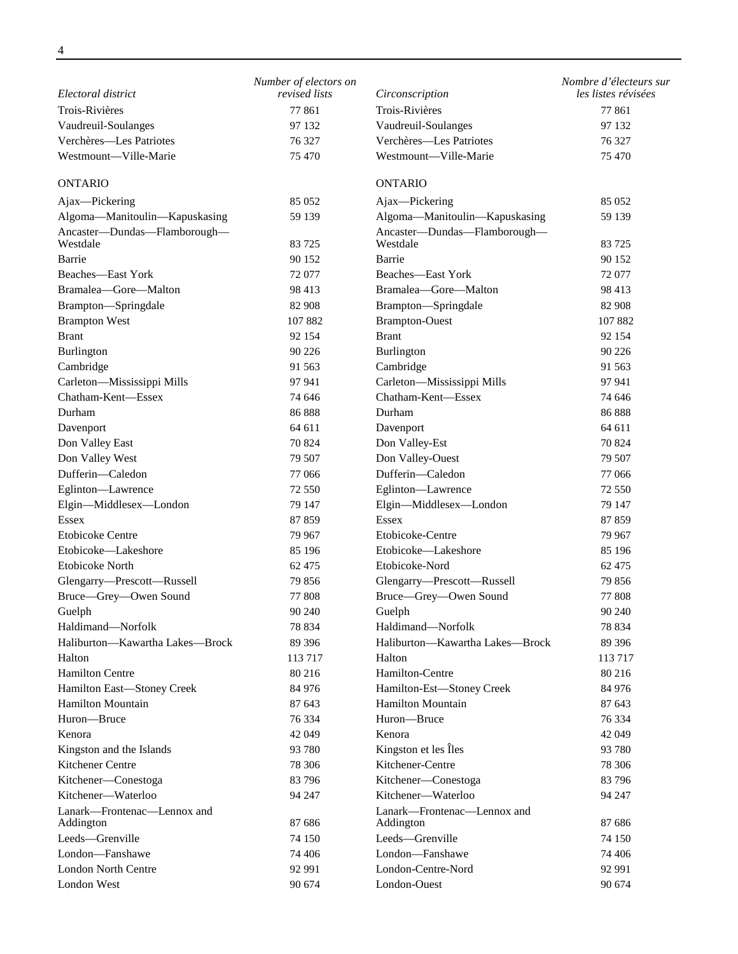|                                          | Number of electors on |                                          | Nombre d'électeurs sur |
|------------------------------------------|-----------------------|------------------------------------------|------------------------|
| Electoral district                       | revised lists         | Circonscription                          | les listes révisées    |
| Trois-Rivières                           | 77861                 | Trois-Rivières                           | 77 861                 |
| Vaudreuil-Soulanges                      | 97 132                | Vaudreuil-Soulanges                      | 97 132                 |
| Verchères-Les Patriotes                  | 76 327                | Verchères-Les Patriotes                  | 76 327                 |
| Westmount-Ville-Marie                    | 75 470                | Westmount-Ville-Marie                    | 75 470                 |
| <b>ONTARIO</b>                           |                       | <b>ONTARIO</b>                           |                        |
| Ajax-Pickering                           | 85 052                | Ajax-Pickering                           | 85 052                 |
| Algoma-Manitoulin-Kapuskasing            | 59 139                | Algoma-Manitoulin-Kapuskasing            | 59 139                 |
| Ancaster-Dundas-Flamborough-             |                       | Ancaster-Dundas-Flamborough-             |                        |
| Westdale                                 | 83 725                | Westdale                                 | 83 725                 |
| Barrie                                   | 90 152                | Barrie                                   | 90 152                 |
| Beaches-East York                        | 72 077                | Beaches-East York                        | 72 077                 |
| Bramalea-Gore-Malton                     | 98 413                | Bramalea-Gore-Malton                     | 98 413                 |
| Brampton-Springdale                      | 82 908                | Brampton-Springdale                      | 82 908                 |
| <b>Brampton West</b>                     | 107882                | <b>Brampton-Ouest</b>                    | 107882                 |
| <b>Brant</b>                             | 92 154                | <b>Brant</b>                             | 92 154                 |
| Burlington                               | 90 226                | Burlington                               | 90 226                 |
| Cambridge                                | 91 563                | Cambridge                                | 91 563                 |
| Carleton-Mississippi Mills               | 97 941                | Carleton-Mississippi Mills               | 97 941                 |
| Chatham-Kent-Essex                       | 74 646                | Chatham-Kent-Essex                       | 74 646                 |
| Durham                                   | 86888                 | Durham                                   | 86888                  |
| Davenport                                | 64 611                | Davenport                                | 64 611                 |
| Don Valley East                          | 70 824                | Don Valley-Est                           | 70 824                 |
| Don Valley West                          | 79 507                | Don Valley-Ouest                         | 79 507                 |
| Dufferin-Caledon                         | 77 066                | Dufferin-Caledon                         | 77 066                 |
| Eglinton-Lawrence                        | 72 550                | Eglinton-Lawrence                        | 72 550                 |
| Elgin-Middlesex-London                   | 79 147                | Elgin-Middlesex-London                   | 79 147                 |
| Essex                                    | 87859                 | Essex                                    | 87859                  |
| <b>Etobicoke Centre</b>                  | 79 967                | Etobicoke-Centre                         | 79 967                 |
| Etobicoke—Lakeshore                      | 85 196                | Etobicoke—Lakeshore                      | 85 196                 |
| <b>Etobicoke North</b>                   | 62 475                | Etobicoke-Nord                           | 62 475                 |
| Glengarry-Prescott-Russell               | 79 856                | Glengarry-Prescott-Russell               | 79 856                 |
| Bruce-Grey-Owen Sound                    | 77 808                | Bruce-Grey-Owen Sound                    | 77 808                 |
| Guelph                                   | 90 240                | Guelph                                   | 90 240                 |
| Haldimand-Norfolk                        | 78 834                | Haldimand-Norfolk                        | 78 834                 |
| Haliburton-Kawartha Lakes-Brock          | 89 39 6               | Haliburton—Kawartha Lakes—Brock          | 89 39 6                |
| Halton                                   | 113717                | Halton                                   | 113717                 |
| <b>Hamilton Centre</b>                   | 80 216                | Hamilton-Centre                          | 80 216                 |
| Hamilton East-Stoney Creek               | 84 976                | Hamilton-Est-Stoney Creek                | 84 976                 |
| <b>Hamilton Mountain</b>                 | 87 643                | <b>Hamilton Mountain</b>                 | 87 643                 |
| Huron-Bruce                              | 76 334                | Huron-Bruce                              | 76 334                 |
| Kenora                                   | 42 049                | Kenora                                   | 42 049                 |
| Kingston and the Islands                 | 93 780                | Kingston et les Îles                     | 93 780                 |
| Kitchener Centre                         | 78 30 6               | Kitchener-Centre                         | 78 30 6                |
| Kitchener-Conestoga                      | 83 796                | Kitchener-Conestoga                      | 83 796                 |
| Kitchener-Waterloo                       | 94 247                | Kitchener-Waterloo                       | 94 247                 |
| Lanark-Frontenac-Lennox and<br>Addington | 87 686                | Lanark-Frontenac-Lennox and<br>Addington | 87 686                 |
| Leeds-Grenville                          | 74 150                | Leeds-Grenville                          | 74 150                 |
| London-Fanshawe                          | 74 406                | London-Fanshawe                          | 74 406                 |
| <b>London North Centre</b>               | 92 991                | London-Centre-Nord                       | 92 991                 |
| London West                              | 90 674                | London-Ouest                             | 90 674                 |
|                                          |                       |                                          |                        |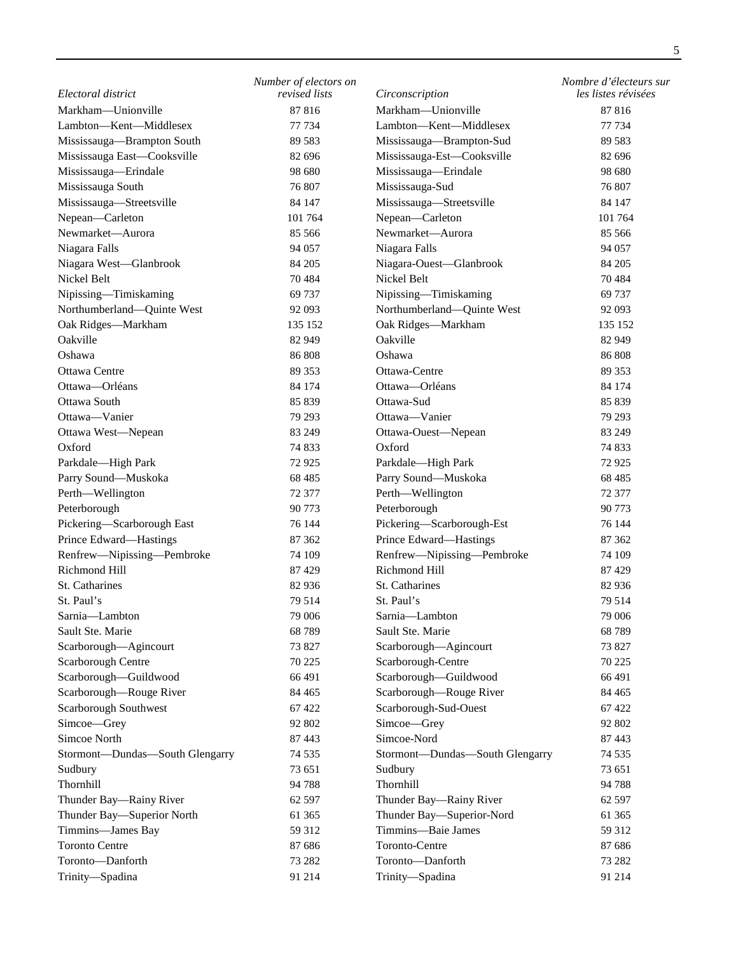|                                 |                       |                                 | 5                      |
|---------------------------------|-----------------------|---------------------------------|------------------------|
|                                 | Number of electors on |                                 | Nombre d'électeurs sur |
| Electoral district              | revised lists         | Circonscription                 | les listes révisées    |
| Markham-Unionville              | 87816                 | Markham-Unionville              | 87816                  |
| Lambton-Kent-Middlesex          | 77 734                | Lambton-Kent-Middlesex          | 77 734                 |
| Mississauga-Brampton South      | 89 5 83               | Mississauga-Brampton-Sud        | 89 5 83                |
| Mississauga East-Cooksville     | 82 696                | Mississauga-Est-Cooksville      | 82 696                 |
| Mississauga-Erindale            | 98 680                | Mississauga-Erindale            | 98 680                 |
| Mississauga South               | 76 807                | Mississauga-Sud                 | 76 807                 |
| Mississauga-Streetsville        | 84 147                | Mississauga-Streetsville        | 84 147                 |
| Nepean-Carleton                 | 101 764               | Nepean-Carleton                 | 101 764                |
| Newmarket-Aurora                | 85 566                | Newmarket-Aurora                | 85 566                 |
| Niagara Falls                   | 94 057                | Niagara Falls                   | 94 057                 |
| Niagara West-Glanbrook          | 84 205                | Niagara-Ouest-Glanbrook         | 84 205                 |
| Nickel Belt                     | 70484                 | Nickel Belt                     | 70484                  |
| Nipissing-Timiskaming           | 69 737                | Nipissing-Timiskaming           | 69 737                 |
| Northumberland-Quinte West      | 92 093                | Northumberland-Quinte West      | 92 093                 |
| Oak Ridges-Markham              | 135 152               | Oak Ridges-Markham              | 135 152                |
| Oakville                        | 82 949                | Oakville                        | 82 949                 |
| Oshawa                          | 86 808                | Oshawa                          | 86 808                 |
| <b>Ottawa Centre</b>            | 89 353                | Ottawa-Centre                   | 89 353                 |
| Ottawa-Orléans                  | 84 174                | Ottawa-Orléans                  | 84 174                 |
| Ottawa South                    | 85 839                | Ottawa-Sud                      | 85 839                 |
| Ottawa-Vanier                   | 79 293                | Ottawa—Vanier                   | 79 293                 |
| Ottawa West-Nepean              | 83 249                | Ottawa-Ouest-Nepean             | 83 249                 |
| Oxford                          | 74 833                | Oxford                          | 74 833                 |
| Parkdale-High Park              | 72 9 25               | Parkdale-High Park              | 72 9 25                |
| Parry Sound-Muskoka             | 68 4 85               | Parry Sound-Muskoka             | 68 4 85                |
| Perth-Wellington                | 72 377                | Perth-Wellington                | 72 377                 |
| Peterborough                    | 90 773                | Peterborough                    | 90 773                 |
| Pickering-Scarborough East      | 76 144                | Pickering-Scarborough-Est       | 76 144                 |
| Prince Edward-Hastings          | 87 362                | Prince Edward-Hastings          | 87 362                 |
| Renfrew-Nipissing-Pembroke      | 74 109                | Renfrew-Nipissing-Pembroke      | 74 109                 |
| Richmond Hill                   | 87 429                | Richmond Hill                   | 87429                  |
| St. Catharines                  | 82 936                | St. Catharines                  | 82 936                 |
| St. Paul's                      | 79 514                | St. Paul's                      | 79 514                 |
| Sarnia-Lambton                  | 79 006                | Sarnia-Lambton                  | 79 006                 |
| Sault Ste. Marie                | 68 789                | Sault Ste. Marie                | 68789                  |
| Scarborough-Agincourt           | 73 827                | Scarborough-Agincourt           | 73 827                 |
| Scarborough Centre              | 70 225                | Scarborough-Centre              | 70 225                 |
| Scarborough-Guildwood           | 66 491                | Scarborough-Guildwood           | 66 491                 |
| Scarborough-Rouge River         | 84 4 65               | Scarborough-Rouge River         | 84 4 65                |
| Scarborough Southwest           | 67 422                | Scarborough-Sud-Ouest           | 67422                  |
| Simcoe-Grey                     | 92 802                | Simcoe-Grey                     | 92 802                 |
| Simcoe North                    | 87 443                | Simcoe-Nord                     | 87 443                 |
| Stormont-Dundas-South Glengarry | 74 5 35               | Stormont-Dundas-South Glengarry | 74 535                 |
| Sudbury                         | 73 651                | Sudbury                         | 73 651                 |
| Thornhill                       | 94 788                | Thornhill                       | 94 788                 |
| Thunder Bay-Rainy River         | 62 597                | Thunder Bay-Rainy River         | 62 597                 |
| Thunder Bay-Superior North      | 61 365                | Thunder Bay-Superior-Nord       | 61 365                 |
| Timmins-James Bay               | 59 312                | Timmins-Baie James              | 59 312                 |
| <b>Toronto Centre</b>           | 87 686                | Toronto-Centre                  | 87 686                 |
| Toronto-Danforth                | 73 282                | Toronto-Danforth                | 73 282                 |
| Trinity-Spadina                 | 91 214                | Trinity-Spadina                 | 91 214                 |
|                                 |                       |                                 |                        |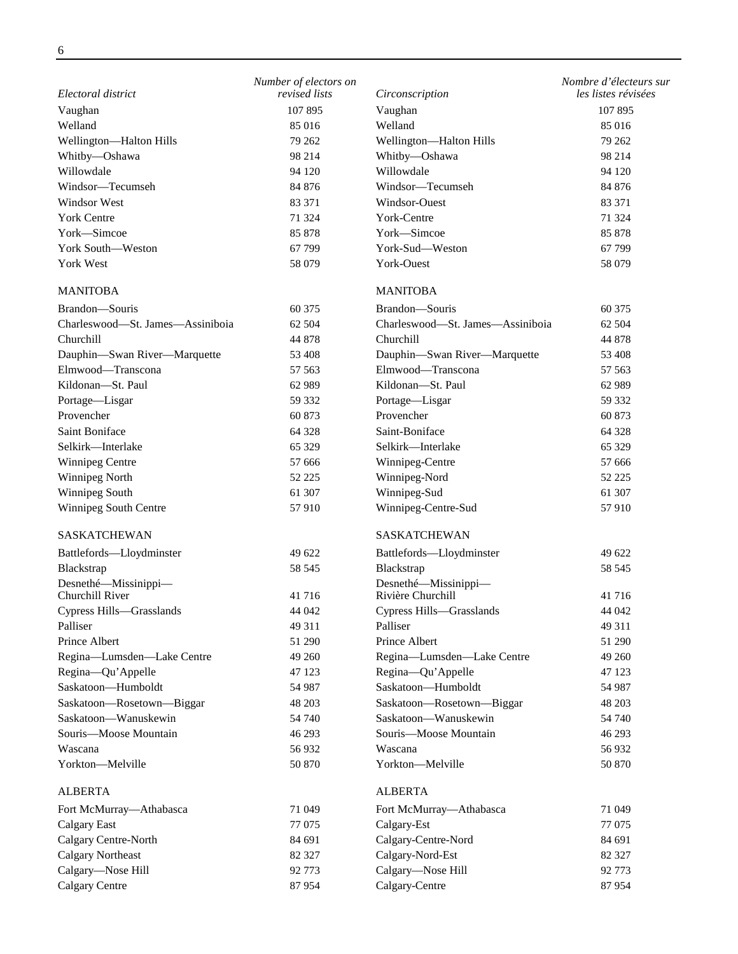|                                         | Number of electors on |                                           | Nombre d'électeurs sur |
|-----------------------------------------|-----------------------|-------------------------------------------|------------------------|
| Electoral district                      | revised lists         | Circonscription                           | les listes révisées    |
| Vaughan                                 | 107 895               | Vaughan                                   | 107 895                |
| Welland                                 | 85 016                | Welland                                   | 85 016                 |
| Wellington-Halton Hills                 | 79 262                | Wellington-Halton Hills                   | 79 262                 |
| Whitby-Oshawa                           | 98 214                | Whitby-Oshawa                             | 98 214                 |
| Willowdale                              | 94 120                | Willowdale                                | 94 120                 |
| Windsor-Tecumseh                        | 84 876                | Windsor-Tecumseh                          | 84 876                 |
| Windsor West                            | 83 371                | Windsor-Ouest                             | 83 371                 |
| <b>York Centre</b>                      | 71 324                | York-Centre                               | 71 324                 |
| York-Simcoe                             | 85 878                | York-Simcoe                               | 85 878                 |
| York South—Weston                       | 67 799                | York-Sud-Weston                           | 67 799                 |
| York West                               | 58 079                | York-Ouest                                | 58 079                 |
| <b>MANITOBA</b>                         |                       | <b>MANITOBA</b>                           |                        |
| Brandon-Souris                          | 60 375                | Brandon-Souris                            | 60 375                 |
| Charleswood-St. James-Assiniboia        | 62 504                | Charleswood-St. James-Assiniboia          | 62 504                 |
| Churchill                               | 44 878                | Churchill                                 | 44 878                 |
| Dauphin-Swan River-Marquette            | 53 408                | Dauphin-Swan River-Marquette              | 53 408                 |
| Elmwood-Transcona                       | 57 563                | Elmwood-Transcona                         | 57 563                 |
| Kildonan-St. Paul                       | 62 989                | Kildonan-St. Paul                         | 62 989                 |
| Portage-Lisgar                          | 59 332                | Portage-Lisgar                            | 59 332                 |
| Provencher                              | 60 873                | Provencher                                | 60 873                 |
| Saint Boniface                          | 64 328                | Saint-Boniface                            | 64 328                 |
| Selkirk-Interlake                       | 65 329                | Selkirk-Interlake                         | 65 329                 |
| <b>Winnipeg Centre</b>                  | 57 666                |                                           | 57 666                 |
|                                         |                       | Winnipeg-Centre                           |                        |
| Winnipeg North                          | 52 225                | Winnipeg-Nord                             | 52 225                 |
| Winnipeg South                          | 61 307                | Winnipeg-Sud                              | 61 307                 |
| Winnipeg South Centre                   | 57910                 | Winnipeg-Centre-Sud                       | 57910                  |
| SASKATCHEWAN                            |                       | SASKATCHEWAN                              |                        |
| Battlefords-Lloydminster                | 49 622                | Battlefords-Lloydminster                  | 49 622                 |
| Blackstrap                              | 58 545                | Blackstrap                                | 58 545                 |
| Desnethé-Missinippi-<br>Churchill River | 41716                 | Desnethé-Missinippi-<br>Rivière Churchill | 41 716                 |
| Cypress Hills-Grasslands                | 44 042                | Cypress Hills-Grasslands                  | 44 042                 |
| Palliser                                | 49 311                | Palliser                                  | 49 311                 |
| Prince Albert                           | 51 290                | Prince Albert                             | 51 290                 |
| Regina-Lumsden-Lake Centre              | 49 260                | Regina-Lumsden-Lake Centre                | 49 260                 |
| Regina-Qu'Appelle                       | 47 123                | Regina-Qu'Appelle                         | 47 123                 |
| Saskatoon-Humboldt                      | 54 987                | Saskatoon-Humboldt                        | 54 987                 |
| Saskatoon-Rosetown-Biggar               | 48 203                | Saskatoon-Rosetown-Biggar                 | 48 203                 |
| Saskatoon-Wanuskewin                    | 54 740                | Saskatoon-Wanuskewin                      | 54 740                 |
| Souris-Moose Mountain                   | 46 293                | Souris-Moose Mountain                     | 46 293                 |
| Wascana                                 | 56 932                | Wascana                                   | 56 932                 |
| Yorkton-Melville                        | 50 870                | Yorkton-Melville                          | 50 870                 |
|                                         |                       |                                           |                        |
| <b>ALBERTA</b>                          |                       | <b>ALBERTA</b>                            |                        |
| Fort McMurray-Athabasca                 | 71 049                | Fort McMurray-Athabasca                   | 71 049                 |
| <b>Calgary East</b>                     | 77 075                | Calgary-Est                               | 77 075                 |
| Calgary Centre-North                    | 84 691                | Calgary-Centre-Nord                       | 84 691                 |
| <b>Calgary Northeast</b>                | 82 327                | Calgary-Nord-Est                          | 82 327                 |
| Calgary-Nose Hill                       | 92 773                | Calgary-Nose Hill                         | 92 773                 |
| <b>Calgary Centre</b>                   | 87954                 | Calgary-Centre                            | 87954                  |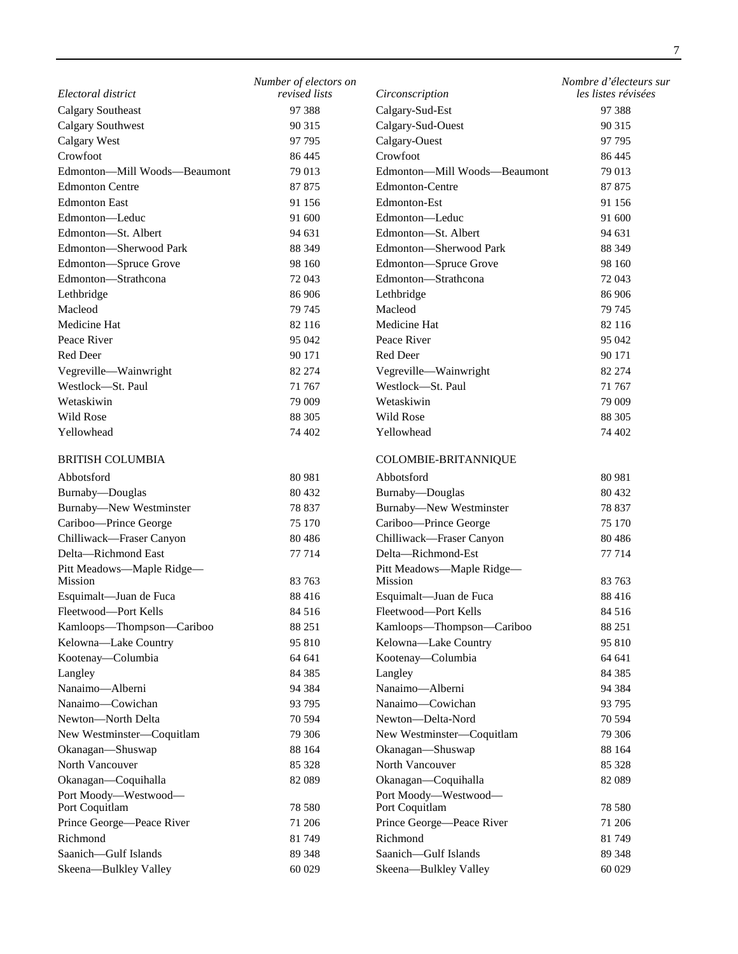| Electoral district                             | Number of electors on<br>revised lists | Circonscription                                | Nombre d'électeurs sur<br>les listes révisées |
|------------------------------------------------|----------------------------------------|------------------------------------------------|-----------------------------------------------|
| <b>Calgary Southeast</b>                       | 97 388                                 | Calgary-Sud-Est                                | 97 388                                        |
| <b>Calgary Southwest</b>                       | 90 315                                 | Calgary-Sud-Ouest                              | 90 315                                        |
| <b>Calgary West</b>                            | 97 795                                 | Calgary-Ouest                                  | 97 795                                        |
| Crowfoot                                       | 86 445                                 | Crowfoot                                       | 86 445                                        |
| Edmonton-Mill Woods-Beaumont                   | 79 013                                 | Edmonton-Mill Woods-Beaumont                   | 79 013                                        |
| <b>Edmonton Centre</b>                         | 87 875                                 | <b>Edmonton-Centre</b>                         | 87 875                                        |
| <b>Edmonton East</b>                           | 91 156                                 | Edmonton-Est                                   | 91 156                                        |
| Edmonton-Leduc                                 | 91 600                                 | Edmonton-Leduc                                 | 91 600                                        |
| Edmonton-St. Albert                            | 94 631                                 | Edmonton-St. Albert                            | 94 631                                        |
| Edmonton-Sherwood Park                         | 88 349                                 | Edmonton-Sherwood Park                         | 88 349                                        |
|                                                | 98 160                                 | Edmonton-Spruce Grove                          | 98 160                                        |
| Edmonton-Spruce Grove                          |                                        | Edmonton-Strathcona                            |                                               |
| Edmonton-Strathcona                            | 72 043                                 |                                                | 72 043                                        |
| Lethbridge                                     | 86 906                                 | Lethbridge                                     | 86 906                                        |
| Macleod                                        | 79 745                                 | Macleod                                        | 79 745                                        |
| Medicine Hat                                   | 82 116                                 | Medicine Hat                                   | 82 116                                        |
| Peace River                                    | 95 042                                 | Peace River                                    | 95 042                                        |
| <b>Red Deer</b>                                | 90 171                                 | Red Deer                                       | 90 171                                        |
| Vegreville-Wainwright                          | 82 274                                 | Vegreville-Wainwright                          | 82 274                                        |
| Westlock-St. Paul                              | 71 767                                 | Westlock-St. Paul                              | 71 767                                        |
| Wetaskiwin                                     | 79 009                                 | Wetaskiwin                                     | 79 009                                        |
| Wild Rose                                      | 88 30 5                                | Wild Rose                                      | 88 30 5                                       |
| Yellowhead                                     | 74 402                                 | Yellowhead                                     | 74 402                                        |
| <b>BRITISH COLUMBIA</b>                        |                                        | COLOMBIE-BRITANNIQUE                           |                                               |
| Abbotsford                                     | 80 981                                 | Abbotsford                                     | 80 981                                        |
| Burnaby-Douglas                                | 80 432                                 | Burnaby-Douglas                                | 80 432                                        |
| Burnaby-New Westminster                        | 78 837                                 | <b>Burnaby-New Westminster</b>                 | 78 837                                        |
| Cariboo-Prince George                          | 75 170                                 | Cariboo-Prince George                          | 75 170                                        |
| Chilliwack-Fraser Canyon                       | 80 4 86                                | Chilliwack-Fraser Canyon                       | 80 4 86                                       |
| Delta-Richmond East                            | 77 714                                 | Delta-Richmond-Est                             | 77 714                                        |
| Pitt Meadows-Maple Ridge-<br>Mission           | 83 763                                 | Pitt Meadows-Maple Ridge-<br>Mission           | 83 763                                        |
|                                                | 88 416                                 |                                                | 88 416                                        |
| Esquimalt-Juan de Fuca<br>Fleetwood-Port Kells | 84 516                                 | Esquimalt-Juan de Fuca<br>Fleetwood-Port Kells |                                               |
|                                                |                                        |                                                | 84 516                                        |
| Kamloops-Thompson-Cariboo                      | 88 251<br>95 810                       | Kamloops-Thompson-Cariboo                      | 88 251<br>95 810                              |
| Kelowna-Lake Country                           |                                        | Kelowna-Lake Country                           |                                               |
| Kootenay—Columbia                              | 64 641                                 | Kootenay—Columbia                              | 64 641                                        |
| Langley                                        | 84 3 85                                | Langley                                        | 84 3 85                                       |
| Nanaimo-Alberni                                | 94 384                                 | Nanaimo-Alberni                                | 94 384                                        |
| Nanaimo-Cowichan                               | 93 795                                 | Nanaimo-Cowichan                               | 93 795                                        |
| Newton-North Delta                             | 70 594                                 | Newton-Delta-Nord                              | 70 594                                        |
| New Westminster-Coquitlam                      | 79 30 6                                | New Westminster-Coquitlam                      | 79 30 6                                       |
| Okanagan-Shuswap                               | 88 164                                 | Okanagan-Shuswap                               | 88 164                                        |
| North Vancouver                                | 85 328                                 | North Vancouver                                | 85 328                                        |
| Okanagan-Coquihalla                            | 82 089                                 | Okanagan-Coquihalla                            | 82 089                                        |
| Port Moody-Westwood-<br>Port Coquitlam         | 78 580                                 | Port Moody-Westwood-<br>Port Coquitlam         | 78 580                                        |
| Prince George-Peace River                      | 71 206                                 | Prince George-Peace River                      | 71 206                                        |
| Richmond                                       | 81749                                  | Richmond                                       | 81749                                         |
| Saanich-Gulf Islands                           | 89 348                                 | Saanich-Gulf Islands                           | 89 348                                        |
| Skeena-Bulkley Valley                          | 60 029                                 | Skeena-Bulkley Valley                          | 60 029                                        |